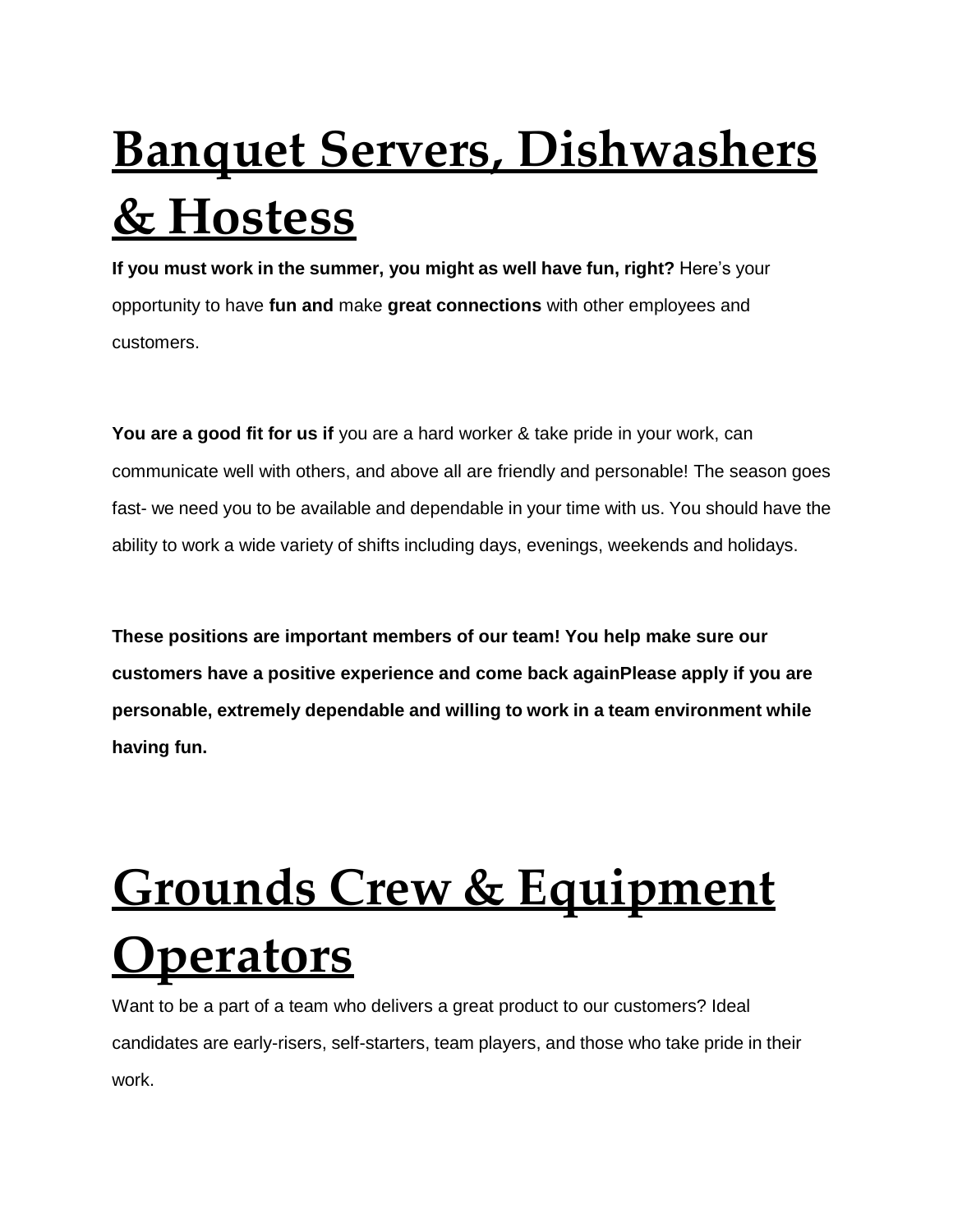## **Banquet Servers, Dishwashers & Hostess**

**If you must work in the summer, you might as well have fun, right?** Here's your opportunity to have **fun and** make **great connections** with other employees and customers.

**You are a good fit for us if** you are a hard worker & take pride in your work, can communicate well with others, and above all are friendly and personable! The season goes fast- we need you to be available and dependable in your time with us. You should have the ability to work a wide variety of shifts including days, evenings, weekends and holidays.

**These positions are important members of our team! You help make sure our customers have a positive experience and come back againPlease apply if you are personable, extremely dependable and willing to work in a team environment while having fun.**

## **Grounds Crew & Equipment Operators**

Want to be a part of a team who delivers a great product to our customers? Ideal candidates are early-risers, self-starters, team players, and those who take pride in their work.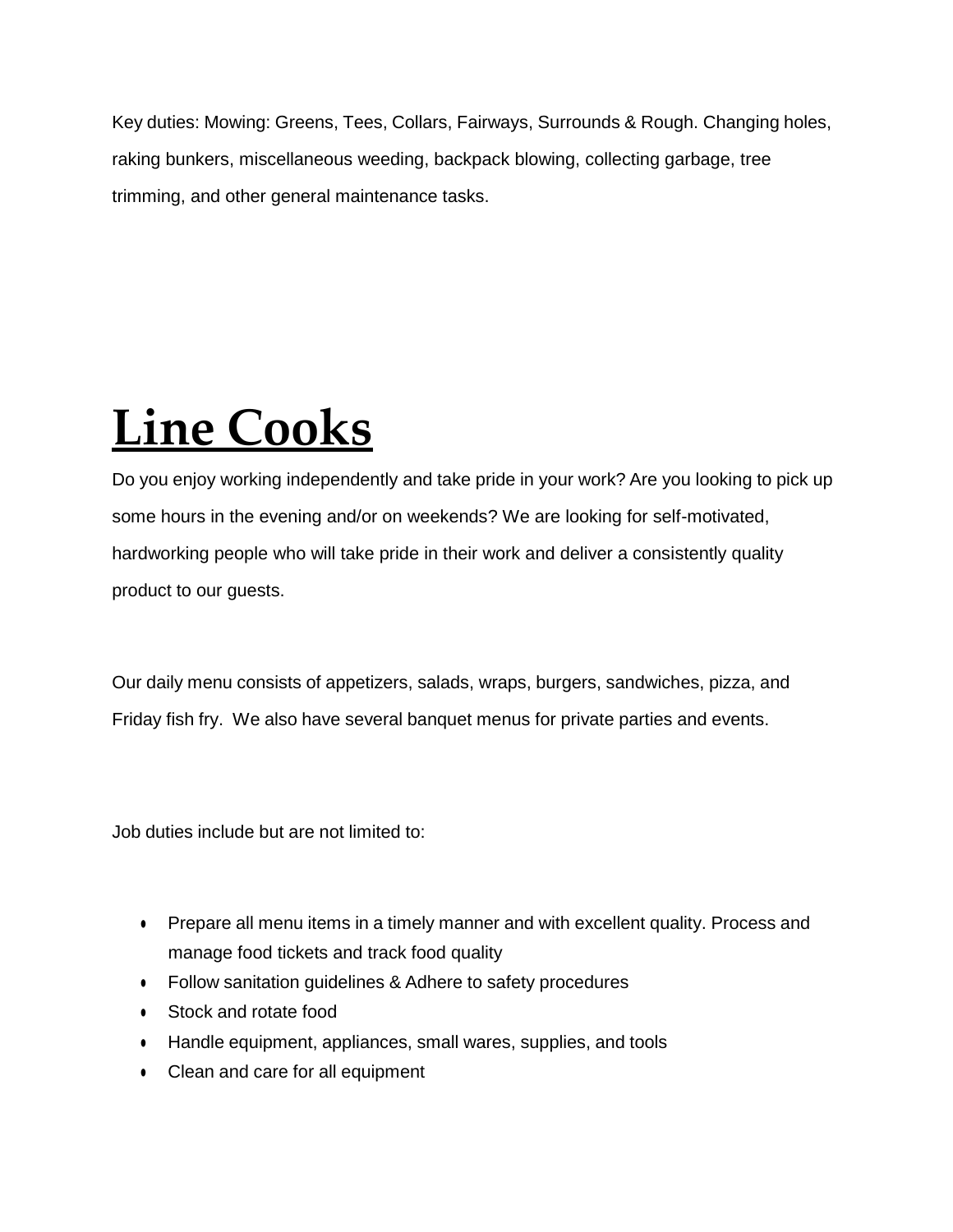Key duties: Mowing: Greens, Tees, Collars, Fairways, Surrounds & Rough. Changing holes, raking bunkers, miscellaneous weeding, backpack blowing, collecting garbage, tree trimming, and other general maintenance tasks.

### **Line Cooks**

Do you enjoy working independently and take pride in your work? Are you looking to pick up some hours in the evening and/or on weekends? We are looking for self-motivated, hardworking people who will take pride in their work and deliver a consistently quality product to our guests.

Our daily menu consists of appetizers, salads, wraps, burgers, sandwiches, pizza, and Friday fish fry. We also have several banquet menus for private parties and events.

Job duties include but are not limited to:

- Prepare all menu items in a timely manner and with excellent quality. Process and manage food tickets and track food quality
- Follow sanitation guidelines & Adhere to safety procedures
- Stock and rotate food
- Handle equipment, appliances, small wares, supplies, and tools
- Clean and care for all equipment